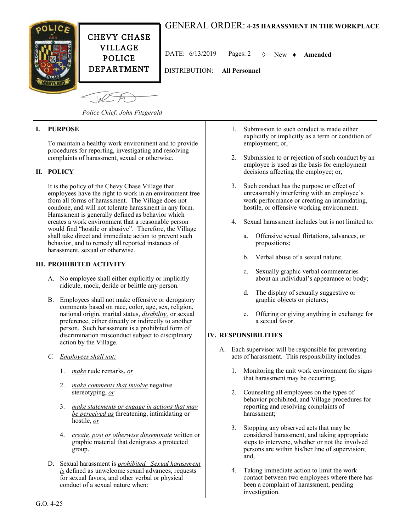# GENERAL ORDER: **4-25 HARASSMENT IN THE WORKPLACE**



CHEVY CHASE VILLAGE POLICE DEPARTMENT

DATE: 6/13/2019 Pages: 2 New **Amended**

DISTRIBUTION: **All Personnel**

 $-10<sup>o</sup>$ 

*Police Chief: John Fitzgerald*

## **I. PURPOSE**

To maintain a healthy work environment and to provide procedures for reporting, investigating and resolving complaints of harassment, sexual or otherwise.

### **II. POLICY**

It is the policy of the Chevy Chase Village that employees have the right to work in an environment free from all forms of harassment. The Village does not condone, and will not tolerate harassment in any form. Harassment is generally defined as behavior which creates a work environment that a reasonable person would find "hostile or abusive". Therefore, the Village shall take direct and immediate action to prevent such behavior, and to remedy all reported instances of harassment, sexual or otherwise.

#### **III. PROHIBITED ACTIVITY**

- A. No employee shall either explicitly or implicitly ridicule, mock, deride or belittle any person.
- B. Employees shall not make offensive or derogatory comments based on race, color, age, sex, religion, national origin, marital status, *disability,* or sexual preference, either directly or indirectly to another person. Such harassment is a prohibited form of discrimination misconduct subject to disciplinary action by the Village.
- *C. Employees shall not:* 
	- 1. *make* rude remarks, *or*
	- 2. *make comments that involve* negative stereotyping, *or*
	- 3. *make statements or engage in actions that may be perceived as* threatening, intimidating or hostile, *or*
	- 4. *create, post or otherwise disseminate* written or graphic material that denigrates a protected group.
- D. Sexual harassment is *prohibited. Sexual harassment is* defined as unwelcome sexual advances, requests for sexual favors, and other verbal or physical conduct of a sexual nature when:
- 1. Submission to such conduct is made either explicitly or implicitly as a term or condition of employment; or,
- 2. Submission to or rejection of such conduct by an employee is used as the basis for employment decisions affecting the employee; or,
- 3. Such conduct has the purpose or effect of unreasonably interfering with an employee's work performance or creating an intimidating, hostile, or offensive working environment.
- Sexual harassment includes but is not limited to:
	- a. Offensive sexual flirtations, advances, or propositions;
	- b. Verbal abuse of a sexual nature;
	- c. Sexually graphic verbal commentaries about an individual's appearance or body;
	- d. The display of sexually suggestive or graphic objects or pictures;
	- e. Offering or giving anything in exchange for a sexual favor.

#### **IV. RESPONSIBILITIES**

- A. Each supervisor will be responsible for preventing acts of harassment. This responsibility includes:
	- 1. Monitoring the unit work environment for signs that harassment may be occurring;
	- 2. Counseling all employees on the types of behavior prohibited, and Village procedures for reporting and resolving complaints of harassment;
	- 3. Stopping any observed acts that may be considered harassment, and taking appropriate steps to intervene, whether or not the involved persons are within his/her line of supervision; and,
	- 4. Taking immediate action to limit the work contact between two employees where there has been a complaint of harassment, pending investigation.